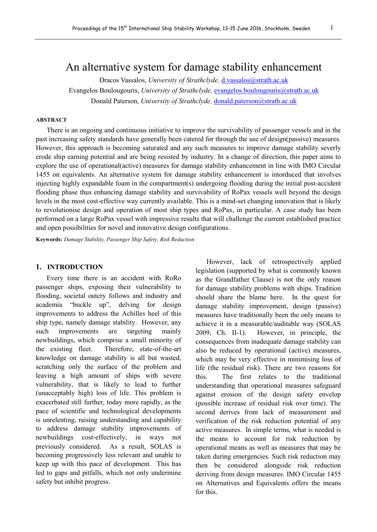# An alternative system for damage stability enhancement

Dracos Vassalos, *University of Strathclyde*, *[d.vassalos@strath.ac.uk](mailto:d.vassalos@strath.ac.uk)* Evangelos Boulougouris, *University of Strathclyde*, **[evangelos.boulougouris@strath.ac.uk](mailto:evangelos.boulougouris@strath.ac.uk)** Donald Paterson, *University of Strathclyde,* [donald.paterson@strath.ac.uk](mailto:donald.paterson@strath.ac.uk)

#### **ABSTRACT**

There is an ongoing and continuous initiative to improve the survivability of passenger vessels and in the past increasing safety standards have generally been catered for through the use of design(passive) measures. However, this approach is becoming saturated and any such measures to improve damage stability severly erode ship earning potential and are being resisted by industry. In a change of direction, this paper aims to explore the use of operational(active) measures for damage stability enhancement in line with IMO Circular 1455 on equivalents. An alternative system for damage stability enhancement is intorduced that involves injecting highly expandable foam in the compartment(s) undergoing flooding during the initial post-accident flooding phase thus enhancing damage stability and survivability of RoPax vessels well beyond the design levels in the most cost-effective way currently available. This is a mind-set changing innovation that is likely to revolutionise design and operation of most ship types and RoPax, in particular. A case study has been performed on a large RoPax vessel with impressive results that will challenge the current established practice and open possibilities for novel and innovative design configurations.

**Keywords:** *Damage Stability, Passenger Ship Safety, Risk Reduction*

# **1. INTRODUCTION**

Every time there is an accident with RoRo passenger ships, exposing their vulnerability to flooding, societal outcry follows and industry and academia "buckle up", delving for design improvements to address the Achilles heel of this ship type, namely damage stability. However, any such improvements are targeting mainly newbuildings, which comprise a small minority of the existing fleet. Therefore, state-of-the-art knowledge on damage stability is all but wasted, scratching only the surface of the problem and leaving a high amount of ships with severe vulnerability, that is likely to lead to further (unacceptably high) loss of life. This problem is exacerbated still further, today more rapidly, as the pace of scientific and technological developments is unrelenting, raising understanding and capability to address damage stability improvements of newbuildings cost-effectively, in ways not previously considered. As a result, SOLAS is becoming progressively less relevant and unable to keep up with this pace of development. This has led to gaps and pitfalls, which not only undermine safety but inhibit progress.

However, lack of retrospectively applied legislation (supported by what is commonly known as the Grandfather Clause) is not the only reason for damage stability problems with ships. Tradition should share the blame here. In the quest for damage stability improvement, design (passive) measures have traditionally been the only means to achieve it in a measurable/auditable way (SOLAS 2009, Ch. II-1). However, in principle, the consequences from inadequate damage stability can also be reduced by operational (active) measures, which may be very effective in minimising loss of life (the residual risk). There are two reasons for this. The first relates to the traditional understanding that operational measures safeguard against erosion of the design safety envelop (possible increase of residual risk over time). The second derives from lack of measurement and verification of the risk reduction potential of any active measures. In simple terms, what is needed is the means to account for risk reduction by operational means as well as measures that may be taken during emergencies. Such risk reduction may then be considered alongside risk reduction deriving from design measures. IMO Circular 1455 on Alternatives and Equivalents offers the means for this.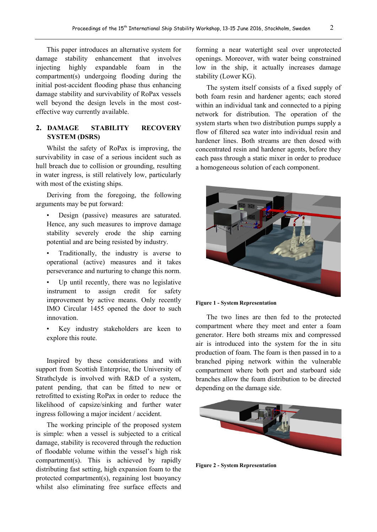This paper introduces an alternative system for damage stability enhancement that involves injecting highly expandable foam in the compartment(s) undergoing flooding during the initial post-accident flooding phase thus enhancing damage stability and survivability of RoPax vessels well beyond the design levels in the most costeffective way currently available.

# **2. DAMAGE STABILITY RECOVERY SYSTEM (DSRS)**

Whilst the safety of RoPax is improving, the survivability in case of a serious incident such as hull breach due to collision or grounding, resulting in water ingress, is still relatively low, particularly with most of the existing ships.

Deriving from the foregoing, the following arguments may be put forward:

- Design (passive) measures are saturated. Hence, any such measures to improve damage stability severely erode the ship earning potential and are being resisted by industry.
- Traditionally, the industry is averse to operational (active) measures and it takes perseverance and nurturing to change this norm.
- Up until recently, there was no legislative instrument to assign credit for safety improvement by active means. Only recently IMO Circular 1455 opened the door to such innovation.
- Key industry stakeholders are keen to explore this route.

Inspired by these considerations and with support from Scottish Enterprise, the University of Strathclyde is involved with R&D of a system, patent pending, that can be fitted to new or retrofitted to existing RoPax in order to reduce the likelihood of capsize/sinking and further water ingress following a major incident / accident.

The working principle of the proposed system is simple: when a vessel is subjected to a critical damage, stability is recovered through the reduction of floodable volume within the vessel's high risk compartment(s). This is achieved by rapidly distributing fast setting, high expansion foam to the protected compartment(s), regaining lost buoyancy whilst also eliminating free surface effects and

forming a near watertight seal over unprotected openings. Moreover, with water being constrained low in the ship, it actually increases damage stability (Lower KG).

The system itself consists of a fixed supply of both foam resin and hardener agents; each stored within an individual tank and connected to a piping network for distribution. The operation of the system starts when two distribution pumps supply a flow of filtered sea water into individual resin and hardener lines. Both streams are then dosed with concentrated resin and hardener agents, before they each pass through a static mixer in order to produce a homogeneous solution of each component.



**Figure 1 - System Representation**

The two lines are then fed to the protected compartment where they meet and enter a foam generator. Here both streams mix and compressed air is introduced into the system for the in situ production of foam. The foam is then passed in to a branched piping network within the vulnerable compartment where both port and starboard side branches allow the foam distribution to be directed depending on the damage side.



**Figure 2 - System Representation**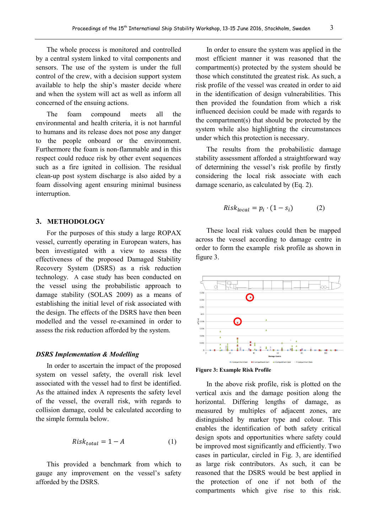The whole process is monitored and controlled by a central system linked to vital components and sensors. The use of the system is under the full control of the crew, with a decision support system available to help the ship's master decide where and when the system will act as well as inform all concerned of the ensuing actions.

The foam compound meets all the environmental and health criteria, it is not harmful to humans and its release does not pose any danger to the people onboard or the environment. Furthermore the foam is non-flammable and in this respect could reduce risk by other event sequences such as a fire ignited in collision. The residual clean-up post system discharge is also aided by a foam dissolving agent ensuring minimal business interruption.

#### **3. METHODOLOGY**

For the purposes of this study a large ROPAX vessel, currently operating in European waters, has been investigated with a view to assess the effectiveness of the proposed Damaged Stability Recovery System (DSRS) as a risk reduction technology. A case study has been conducted on the vessel using the probabilistic approach to damage stability (SOLAS 2009) as a means of establishing the initial level of risk associated with the design. The effects of the DSRS have then been modelled and the vessel re-examined in order to assess the risk reduction afforded by the system.

#### *DSRS Implementation & Modelling*

In order to ascertain the impact of the proposed system on vessel safety, the overall risk level associated with the vessel had to first be identified. As the attained index A represents the safety level of the vessel, the overall risk, with regards to collision damage, could be calculated according to the simple formula below.

$$
Risk_{total} = 1 - A \tag{1}
$$

This provided a benchmark from which to gauge any improvement on the vessel's safety afforded by the DSRS.

In order to ensure the system was applied in the most efficient manner it was reasoned that the compartment(s) protected by the system should be those which constituted the greatest risk. As such, a risk profile of the vessel was created in order to aid in the identification of design vulnerabilities. This then provided the foundation from which a risk influenced decision could be made with regards to the compartment(s) that should be protected by the system while also highlighting the circumstances under which this protection is necessary.

The results from the probabilistic damage stability assessment afforded a straightforward way of determining the vessel's risk profile by firstly considering the local risk associate with each damage scenario, as calculated by (Eq. 2).

$$
Risk_{local} = p_i \cdot (1 - s_i) \tag{2}
$$

These local risk values could then be mapped across the vessel according to damage centre in order to form the example risk profile as shown in figure 3.





In the above risk profile, risk is plotted on the vertical axis and the damage position along the horizontal. Differing lengths of damage, as measured by multiples of adjacent zones, are distinguished by marker type and colour. This enables the identification of both safety critical design spots and opportunities where safety could be improved most significantly and efficiently. Two cases in particular, circled in Fig. 3, are identified as large risk contributors. As such, it can be reasoned that the DSRS would be best applied in the protection of one if not both of the compartments which give rise to this risk.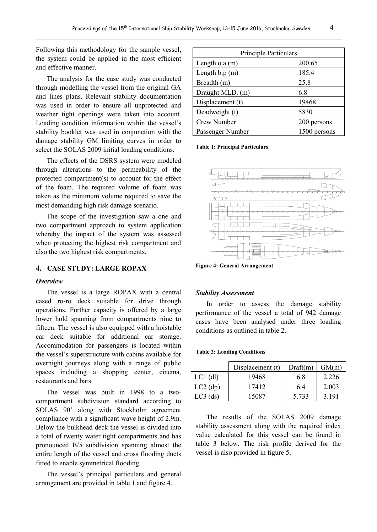Following this methodology for the sample vessel, the system could be applied in the most efficient and effective manner.

The analysis for the case study was conducted through modelling the vessel from the original GA and lines plans. Relevant stability documentation was used in order to ensure all unprotected and weather tight openings were taken into account. Loading condition information within the vessel's stability booklet was used in conjunction with the damage stability GM limiting curves in order to select the SOLAS 2009 initial loading conditions.

The effects of the DSRS system were modeled through alterations to the permeability of the protected compartment(s) to account for the effect of the foam. The required volume of foam was taken as the minimum volume required to save the most demanding high risk damage scenario.

The scope of the investigation saw a one and two compartment approach to system application whereby the impact of the system was assessed when protecting the highest risk compartment and also the two highest risk compartments.

# **4. CASE STUDY: LARGE ROPAX**

# *Overview*

The vessel is a large ROPAX with a central cased ro-ro deck suitable for drive through operations. Further capacity is offered by a large lower hold spanning from compartments nine to fifteen. The vessel is also equipped with a hoistable car deck suitable for additional car storage. Accommodation for passengers is located within the vessel's superstructure with cabins available for overnight journeys along with a range of public spaces including a shopping center, cinema, restaurants and bars.

The vessel was built in 1998 to a twocompartment subdivision standard according to SOLAS 90' along with Stockholm agreement compliance with a significant wave height of 2.9m. Below the bulkhead deck the vessel is divided into a total of twenty water tight compartments and has pronounced B/5 subdivision spanning almost the entire length of the vessel and cross flooding ducts fitted to enable symmetrical flooding.

The vessel's principal particulars and general arrangement are provided in table 1 and figure 4.

| <b>Principle Particulars</b> |              |  |
|------------------------------|--------------|--|
| Length $o.a(m)$              | 200.65       |  |
| Length $b.p(m)$              | 185.4        |  |
| Breadth (m)                  | 25.8         |  |
| Draught MLD. (m)             | 6.8          |  |
| Displacement (t)             | 19468        |  |
| Deadweight (t)               | 5830         |  |
| Crew Number                  | 200 persons  |  |
| Passenger Number             | 1500 persons |  |

**Table 1: Principal Particulars**



**Figure 4: General Arrangement**

#### *Stability Assessment*

In order to assess the damage stability performance of the vessel a total of 942 damage cases have been analysed under three loading conditions as outlined in table 2.

#### **Table 2: Loading Conditions**

|            | Displacement (t) | Draff(m) | GM(m) |
|------------|------------------|----------|-------|
| $LCl$ (dl) | 19468            | 68       | 2.226 |
| $LC2$ (dp) | 17412            | 6.4      | 2.003 |
| $LC3$ (ds) | 15087            | 5 7 3 3  | 3 191 |

The results of the SOLAS 2009 damage stability assessment along with the required index value calculated for this vessel can be found in table 3 below. The risk profile derived for the vessel is also provided in figure 5.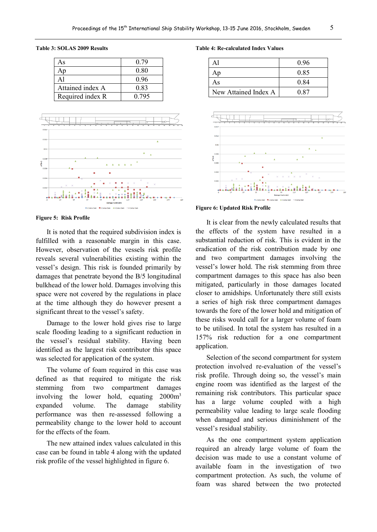### **Table 3: SOLAS 2009 Results**

| As               | 0.79  |
|------------------|-------|
|                  | 0.80  |
|                  | 0.96  |
| Attained index A | 0.83  |
| Required index R | 0.795 |



**Figure 5: Risk Profile**

It is noted that the required subdivision index is fulfilled with a reasonable margin in this case. However, observation of the vessels risk profile reveals several vulnerabilities existing within the vessel's design. This risk is founded primarily by damages that penetrate beyond the B/5 longitudinal bulkhead of the lower hold. Damages involving this space were not covered by the regulations in place at the time although they do however present a significant threat to the vessel's safety.

Damage to the lower hold gives rise to large scale flooding leading to a significant reduction in the vessel's residual stability. Having been identified as the largest risk contributor this space was selected for application of the system.

The volume of foam required in this case was defined as that required to mitigate the risk stemming from two compartment damages involving the lower hold, equating 2000m<sup>3</sup> expanded volume. The damage stability performance was then re-assessed following a permeability change to the lower hold to account for the effects of the foam.

The new attained index values calculated in this case can be found in table 4 along with the updated risk profile of the vessel highlighted in figure 6.

**Table 4: Re-calculated Index Values**

| Αl                   | 0.96 |
|----------------------|------|
| Ap                   | 0.85 |
| As                   | 0.84 |
| New Attained Index A | 0 87 |



#### **Figure 6: Updated Risk Profile**

It is clear from the newly calculated results that the effects of the system have resulted in a substantial reduction of risk. This is evident in the eradication of the risk contribution made by one and two compartment damages involving the vessel's lower hold. The risk stemming from three compartment damages to this space has also been mitigated, particularly in those damages located closer to amidships. Unfortunately there still exists a series of high risk three compartment damages towards the fore of the lower hold and mitigation of these risks would call for a larger volume of foam to be utilised. In total the system has resulted in a 157% risk reduction for a one compartment application.

Selection of the second compartment for system protection involved re-evaluation of the vessel's risk profile. Through doing so, the vessel's main engine room was identified as the largest of the remaining risk contributors. This particular space has a large volume coupled with a high permeability value leading to large scale flooding when damaged and serious diminishment of the vessel's residual stability.

As the one compartment system application required an already large volume of foam the decision was made to use a constant volume of available foam in the investigation of two compartment protection. As such, the volume of foam was shared between the two protected